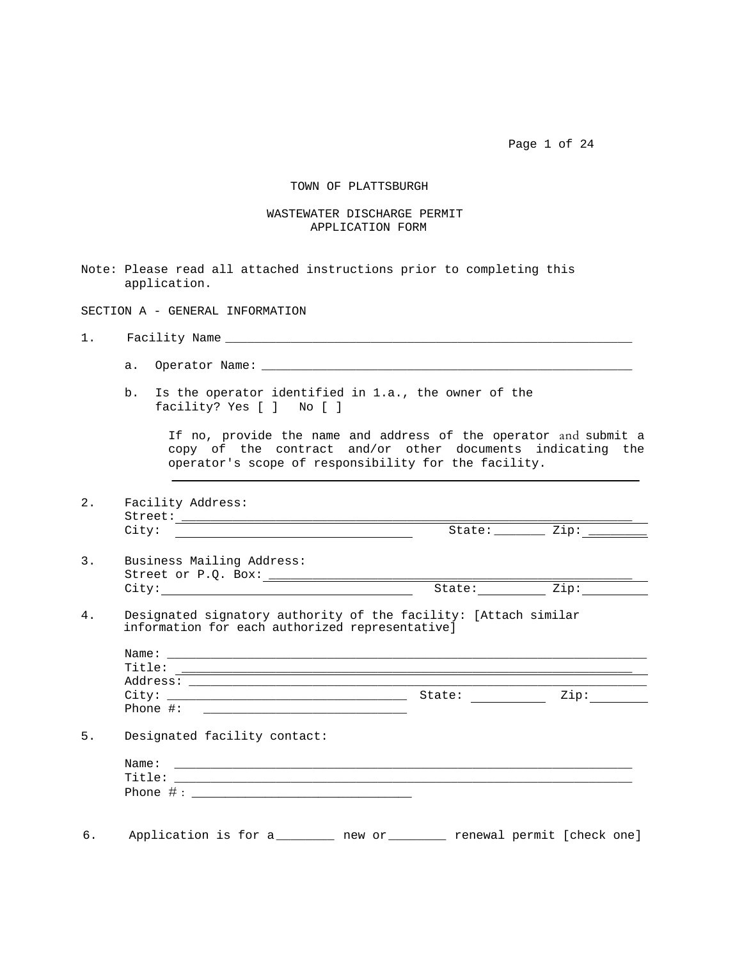Page 1 of 24

## TOWN OF PLATTSBURGH

## WASTEWATER DISCHARGE PERMIT APPLICATION FORM

Note: Please read all attached instructions prior to completing this application.

SECTION A - GENERAL INFORMATION

1. Facility Name \_\_\_\_\_\_\_\_\_\_\_\_\_\_\_\_\_\_\_\_\_\_\_\_\_\_\_\_\_\_\_\_\_\_\_\_\_\_\_\_\_\_\_\_\_\_\_\_\_\_\_\_\_\_\_\_

- a. Operator Name: \_\_\_\_\_\_\_\_\_\_\_\_\_\_\_\_\_\_\_\_\_\_\_\_\_\_\_\_\_\_\_\_\_\_\_\_\_\_\_\_\_\_\_\_\_\_\_\_\_\_\_
- b. Is the operator identified in 1.a., the owner of the facility? Yes [ ] No [ ]

If no, provide the name and address of the operator and submit a copy of the contract and/or other documents indicating the operator's scope of responsibility for the facility.

2. Facility Address: Street: \_\_\_\_\_\_\_\_\_\_\_\_\_\_\_\_\_\_\_\_\_\_\_\_\_\_\_\_\_\_\_\_\_\_\_\_\_\_\_\_\_\_\_\_\_\_\_\_\_\_\_\_\_\_\_\_\_\_\_\_\_\_ City: State: \_\_\_\_\_\_\_Zip: \_\_\_\_\_\_\_\_

- 3. Business Mailing Address: Street or P.Q. Box: \_\_\_\_\_\_\_\_\_\_\_\_\_\_\_\_\_\_\_\_\_\_\_\_\_\_\_\_\_\_\_\_\_\_\_\_\_\_\_\_\_\_\_\_\_\_\_\_\_\_ City: State: Zip:
- 4. Designated signatory authority of the facility: [Attach similar information for each authorized representative]

| Title:<br>Address:                                                                                                             |        |      |
|--------------------------------------------------------------------------------------------------------------------------------|--------|------|
|                                                                                                                                | State: | Zip: |
| Phone $\#$ :<br><u> 1980 - Johann Barnett, fransk kongresu og den s</u>                                                        |        |      |
| Designated facility contact:                                                                                                   |        |      |
|                                                                                                                                |        |      |
| Name:                                                                                                                          |        |      |
| Title:<br><u> 1980 - Jan Stein Stein Stein Stein Stein Stein Stein Stein Stein Stein Stein Stein Stein Stein Stein Stein S</u> |        |      |

6. Application is for a \_\_\_\_\_\_\_\_ new or \_\_\_\_\_\_\_\_ renewal permit [check one]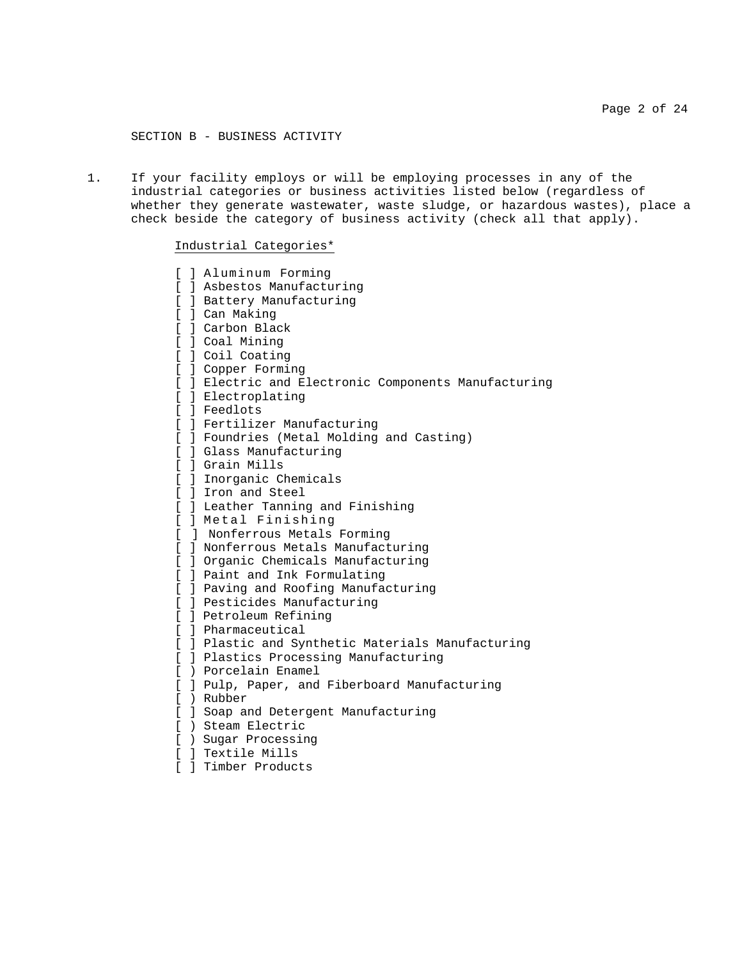SECTION B - BUSINESS ACTIVITY

1. If your facility employs or will be employing processes in any of the industrial categories or business activities listed below (regardless of whether they generate wastewater, waste sludge, or hazardous wastes), place a check beside the category of business activity (check all that apply).

# Industrial Categories\*

| L            | ] Aluminum Forming                                   |
|--------------|------------------------------------------------------|
|              | [ ] Asbestos Manufacturing                           |
|              | [ ] Battery Manufacturing                            |
|              | [ ] Can Making                                       |
|              | [ ] Carbon Black                                     |
|              | [ ] Coal Mining                                      |
|              | [ ] Coil Coating                                     |
|              | [ ] Copper Forming                                   |
|              | [ ] Electric and Electronic Components Manufacturing |
|              | [ ] Electroplating                                   |
|              | [ ] Feedlots                                         |
|              | [ ] Fertilizer Manufacturing                         |
|              | [ ] Foundries (Metal Molding and Casting)            |
|              | [ ] Glass Manufacturing                              |
|              | [ ] Grain Mills                                      |
|              | [ ] Inorganic Chemicals                              |
|              | [ ] Iron and Steel                                   |
|              | [ ] Leather Tanning and Finishing                    |
|              | [ ] Metal Finishing                                  |
| [            | ] Nonferrous Metals Forming                          |
| L            | ] Nonferrous Metals Manufacturing                    |
|              | [ ] Organic Chemicals Manufacturing                  |
|              | [ ] Paint and Ink Formulating                        |
|              | [ ] Paving and Roofing Manufacturing                 |
|              | [ ] Pesticides Manufacturing                         |
|              | [ ] Petroleum Refining                               |
| $\mathbf{r}$ | ] Pharmaceutical                                     |
|              | [ ] Plastic and Synthetic Materials Manufacturing    |
|              | [ ] Plastics Processing Manufacturing                |
|              | [ ) Porcelain Enamel                                 |
|              | [ ] Pulp, Paper, and Fiberboard Manufacturing        |
|              | [ ) Rubber                                           |
|              | [ ] Soap and Detergent Manufacturing                 |
| L            | ) Steam Electric                                     |
| ſ            | ) Sugar Processing                                   |

- [ ] Textile Mills
- [ ] Timber Products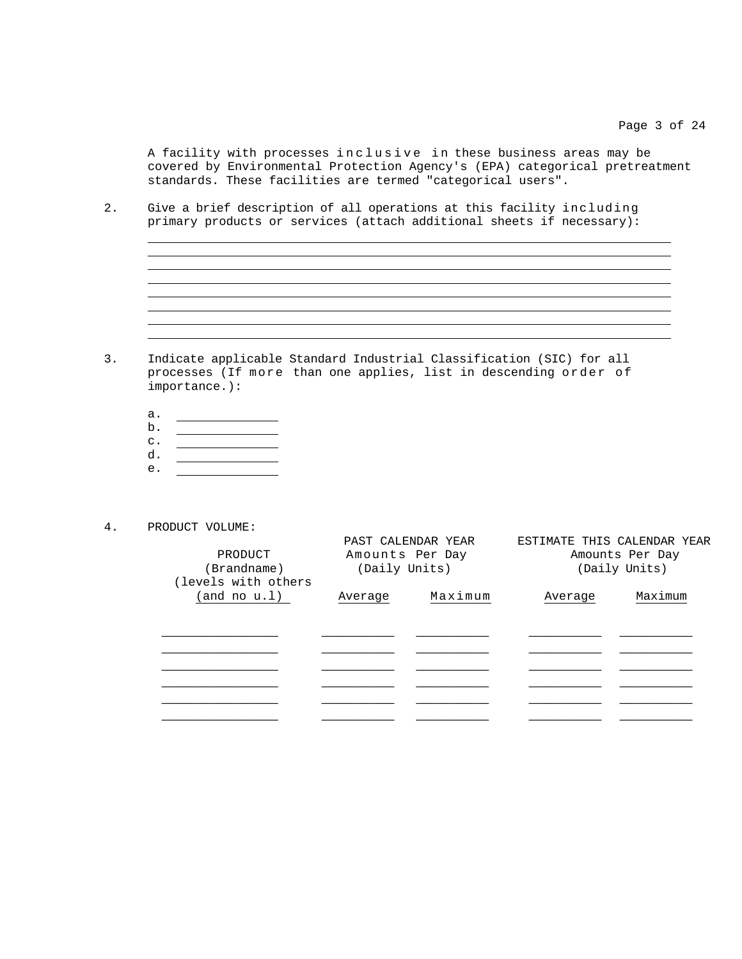A facility with processes inclusive in these business areas may be covered by Environmental Protection Agency's (EPA) categorical pretreatment standards. These facilities are termed "categorical users".

<u> 1989 - Johann Stoff, deutscher Stoffen und der Stoffen und der Stoffen und der Stoffen und der Stoffen und der</u>

2. Give a brief description of all operations at this facility including primary products or services (attach additional sheets if necessary):

- 3. Indicate applicable Standard Industrial Classification (SIC) for all processes (If more than one applies, list in descending order of importance.):
	- a.
	- b. c.
	- d.
	- e.
- 4. PRODUCT VOLUME:

  $\overline{a}$ 

| PRODUCT<br>(Brandname)<br>(levels with others | Amounts Per Day<br>(Daily Units) | PAST CALENDAR YEAR | ESTIMATE THIS CALENDAR YEAR<br>Amounts Per Day<br>(Daily Units) |         |  |
|-----------------------------------------------|----------------------------------|--------------------|-----------------------------------------------------------------|---------|--|
| (and no u.1)                                  | Average                          | Maximum            | Average                                                         | Maximum |  |
|                                               |                                  |                    |                                                                 |         |  |
|                                               |                                  |                    |                                                                 |         |  |
|                                               |                                  |                    |                                                                 |         |  |
|                                               |                                  |                    |                                                                 |         |  |
|                                               |                                  |                    |                                                                 |         |  |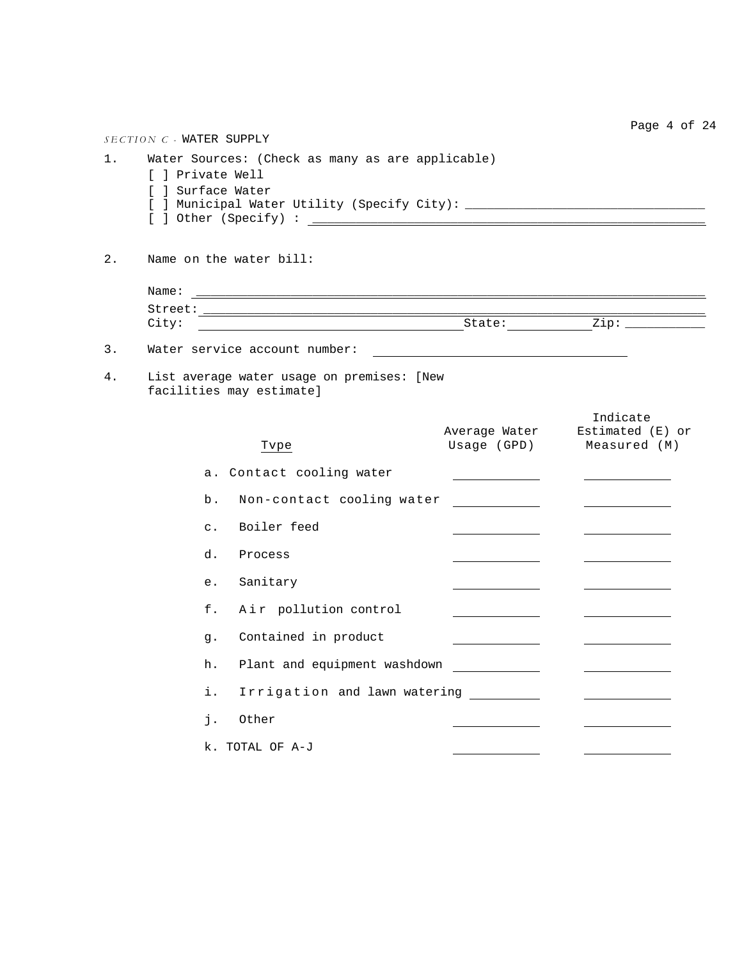Page 4 of 24 *SECTION C -* WATER SUPPLY 1. Water Sources: (Check as many as are applicable) [ ] Private Well [ ] Surface Water [ ] Municipal Water Utility (Specify City): \_\_\_\_\_\_\_\_\_\_\_\_\_\_\_\_\_\_\_\_\_\_\_\_\_\_\_\_\_\_\_\_\_ [ ] Other (Specify) : \_\_\_\_\_\_\_\_\_\_\_\_\_\_\_\_\_\_\_\_\_\_\_\_\_\_\_\_\_\_\_\_\_\_\_\_\_\_\_\_\_\_\_\_\_\_\_\_\_\_\_\_\_\_ 2. Name on the water bill: Name: \_\_\_\_\_\_\_\_\_\_\_\_\_\_\_\_\_\_\_\_\_\_\_\_\_\_\_\_\_\_\_\_\_\_\_\_\_\_\_\_\_\_\_\_\_\_\_\_\_\_\_\_\_\_\_\_\_\_\_\_\_\_\_\_\_\_\_\_\_\_ Street: \_\_\_\_\_\_\_\_\_\_\_\_\_\_\_\_\_\_\_\_\_\_\_\_\_\_\_\_\_\_\_\_\_\_\_\_\_\_\_\_\_\_\_\_\_\_\_\_\_\_\_\_\_\_\_\_\_\_\_\_\_\_\_\_\_\_\_\_\_ City: State: Zip: \_\_\_\_\_\_\_\_\_\_\_ 3. Water service account number: 4. List average water usage on premises: [New facilities may estimate] Indicate Average Water Estimated (E) or Tvpe Usage (GPD) Measured (M) a. Contact cooling water b. Non-contact cooling water \_\_\_\_\_\_\_\_\_\_\_\_ c. Boiler feed d. Process e. Sanitary f. Air pollution control g. Contained in product h. Plant and equipment washdown \_\_\_\_\_\_\_\_\_\_\_\_\_\_ i. Irrigation and lawn watering \_\_\_\_\_\_\_\_\_ j. Other k. TOTAL OF A-J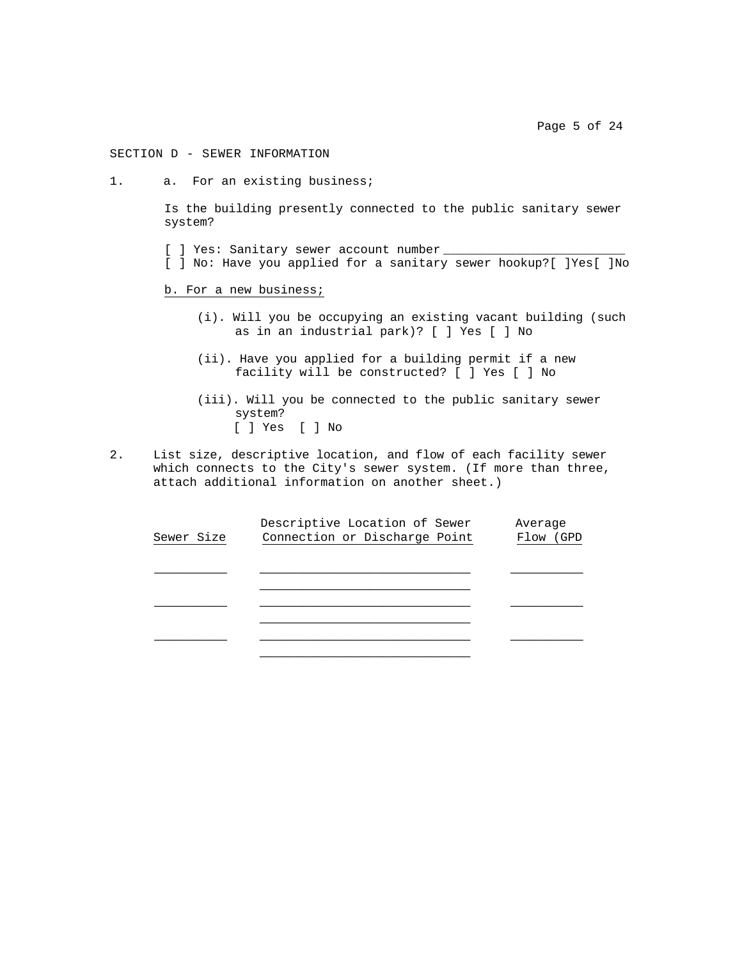Page 5 of 24

# SECTION D - SEWER INFORMATION

1. a. For an existing business;

Is the building presently connected to the public sanitary sewer system?

- [ ] Yes: Sanitary sewer account number
- [ ] No: Have you applied for a sanitary sewer hookup?[ ]Yes[ ]No

#### b. For a new business;

- (i). Will you be occupying an existing vacant building (such as in an industrial park)? [ ] Yes [ ] No
- (ii). Have you applied for a building permit if a new facility will be constructed? [ ] Yes [ ] No
- (iii). Will you be connected to the public sanitary sewer system? [ ] Yes [ ] No
- 2. List size, descriptive location, and flow of each facility sewer which connects to the City's sewer system. (If more than three, attach additional information on another sheet.)

|            | Descriptive Location of Sewer | Average   |
|------------|-------------------------------|-----------|
| Sewer Size | Connection or Discharge Point | Flow (GPD |
|            |                               |           |
|            |                               |           |
|            |                               |           |
|            |                               |           |
|            |                               |           |
|            |                               |           |
|            |                               |           |
|            |                               |           |
|            |                               |           |
|            |                               |           |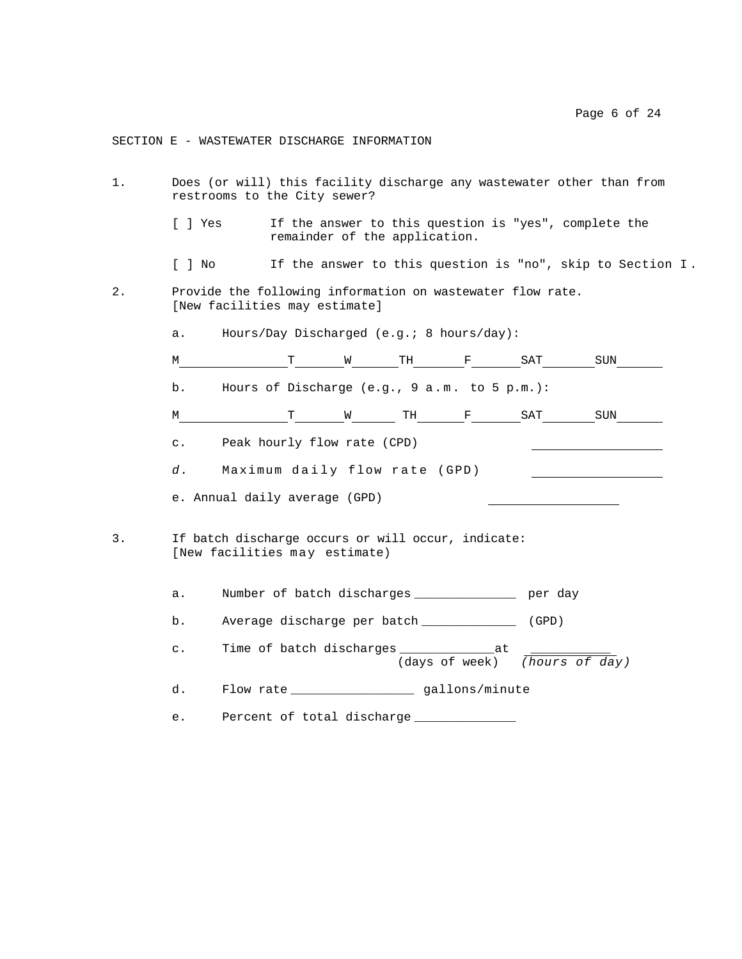# SECTION E - WASTEWATER DISCHARGE INFORMATION

| 1. | Does (or will) this facility discharge any wastewater other than from<br>restrooms to the City sewer? |  |                                                                                     |  |  |  |                                                       |                                                            |  |  |  |
|----|-------------------------------------------------------------------------------------------------------|--|-------------------------------------------------------------------------------------|--|--|--|-------------------------------------------------------|------------------------------------------------------------|--|--|--|
|    | [ ] Yes                                                                                               |  | remainder of the application.                                                       |  |  |  | If the answer to this question is "yes", complete the |                                                            |  |  |  |
|    | [ ] No                                                                                                |  |                                                                                     |  |  |  |                                                       | If the answer to this question is "no", skip to Section I. |  |  |  |
| 2. | Provide the following information on wastewater flow rate.<br>[New facilities may estimate]           |  |                                                                                     |  |  |  |                                                       |                                                            |  |  |  |
|    | а.                                                                                                    |  | Hours/Day Discharged (e.g.; 8 hours/day):                                           |  |  |  |                                                       |                                                            |  |  |  |
|    | М                                                                                                     |  |                                                                                     |  |  |  | T W TH F SAT SUN                                      |                                                            |  |  |  |
|    | b.                                                                                                    |  | Hours of Discharge (e.g., 9 a.m. to 5 p.m.):                                        |  |  |  |                                                       |                                                            |  |  |  |
|    | М                                                                                                     |  |                                                                                     |  |  |  | T W TH F SAT                                          | SUN                                                        |  |  |  |
|    | $\mathsf{c}$ .                                                                                        |  | Peak hourly flow rate (CPD)                                                         |  |  |  |                                                       |                                                            |  |  |  |
|    | Maximum daily flow rate (GPD)<br>d.                                                                   |  |                                                                                     |  |  |  |                                                       |                                                            |  |  |  |
|    |                                                                                                       |  | e. Annual daily average (GPD)                                                       |  |  |  |                                                       |                                                            |  |  |  |
| 3. |                                                                                                       |  | If batch discharge occurs or will occur, indicate:<br>[New facilities may estimate) |  |  |  |                                                       |                                                            |  |  |  |
|    | а.                                                                                                    |  | Number of batch discharges _______________ per day                                  |  |  |  |                                                       |                                                            |  |  |  |
|    | b.                                                                                                    |  | Average discharge per batch ______________                                          |  |  |  | (GPD)                                                 |                                                            |  |  |  |
|    | $\mathsf{c}$ .                                                                                        |  | Time of batch discharges ________________at                                         |  |  |  | (days of week) (hours of day)                         |                                                            |  |  |  |
|    | d.                                                                                                    |  |                                                                                     |  |  |  |                                                       |                                                            |  |  |  |
|    | e.                                                                                                    |  | Percent of total discharge ___________                                              |  |  |  |                                                       |                                                            |  |  |  |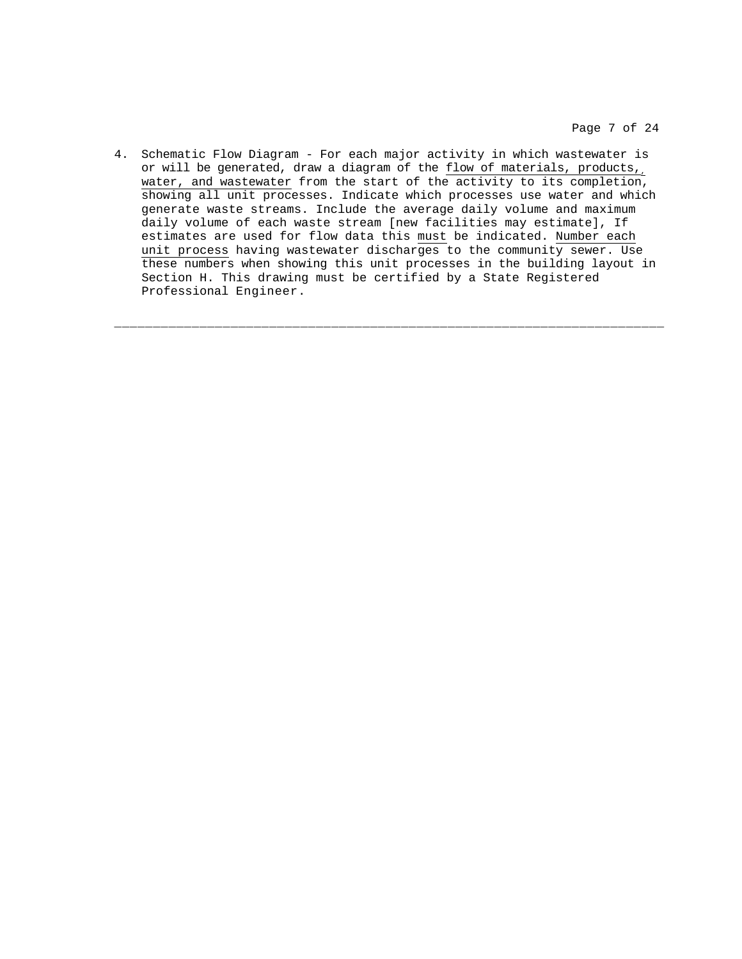Page 7 of 24

4. Schematic Flow Diagram - For each major activity in which wastewater is or will be generated, draw a diagram of the  $f_{low}$  of materials, products, water, and wastewater from the start of the activity to its completion, showing all unit processes. Indicate which processes use water and which generate waste streams. Include the average daily volume and maximum daily volume of each waste stream [new facilities may estimate], If estimates are used for flow data this must be indicated. Number each unit process having wastewater discharges to the community sewer. Use these numbers when showing this unit processes in the building layout in Section H. This drawing must be certified by a State Registered Professional Engineer.

\_\_\_\_\_\_\_\_\_\_\_\_\_\_\_\_\_\_\_\_\_\_\_\_\_\_\_\_\_\_\_\_\_\_\_\_\_\_\_\_\_\_\_\_\_\_\_\_\_\_\_\_\_\_\_\_\_\_\_\_\_\_\_\_\_\_\_\_\_\_\_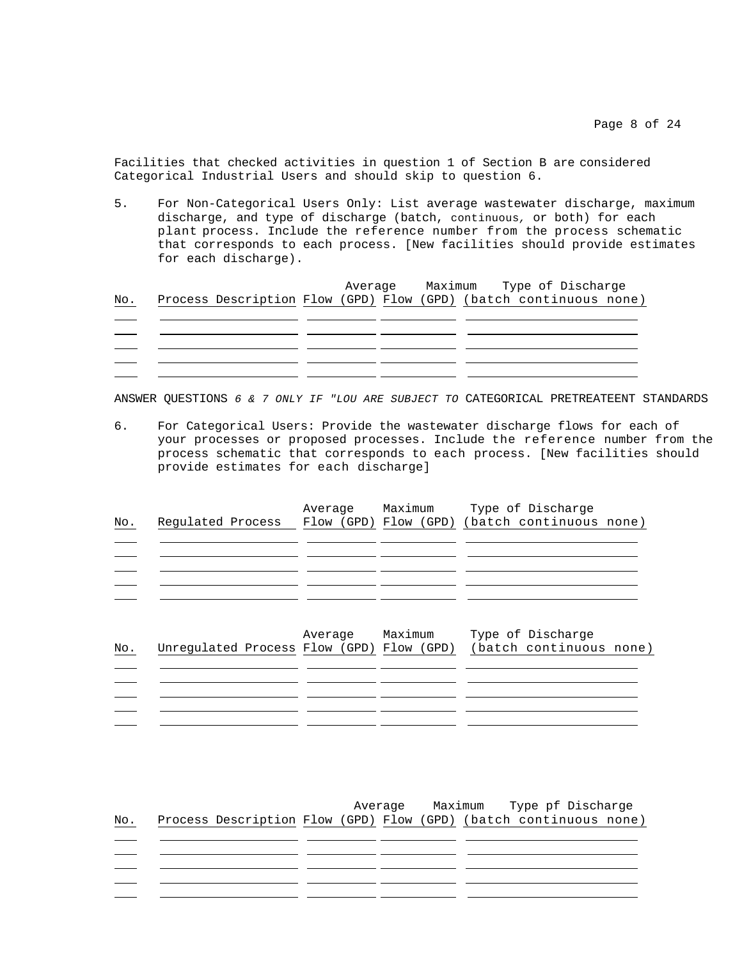Facilities that checked activities in question 1 of Section B are considered Categorical Industrial Users and should skip to question 6.

5. For Non-Categorical Users Only: List average wastewater discharge, maximum discharge, and type of discharge (batch, continuous*,* or both) for each plant process. Include the reference number from the process schematic that corresponds to each process. [New facilities should provide estimates for each discharge).

|     |  |  |  |  |  |  | Average Maximum Type of Discharge                                 |  |  |  |
|-----|--|--|--|--|--|--|-------------------------------------------------------------------|--|--|--|
| No. |  |  |  |  |  |  | Process Description Flow (GPD) Flow (GPD) (batch continuous none) |  |  |  |
|     |  |  |  |  |  |  |                                                                   |  |  |  |
|     |  |  |  |  |  |  |                                                                   |  |  |  |
|     |  |  |  |  |  |  |                                                                   |  |  |  |
|     |  |  |  |  |  |  |                                                                   |  |  |  |
|     |  |  |  |  |  |  |                                                                   |  |  |  |

ANSWER QUESTIONS *6 & 7 ONLY IF "LOU ARE SUBJECT TO* CATEGORICAL PRETREATEENT STANDARDS

6. For Categorical Users: Provide the wastewater discharge flows for each of your processes or proposed processes. Include the reference number from the process schematic that corresponds to each process. [New facilities should provide estimates for each discharge]

| No. | Regulated Process                         | Average | Maximum | Type of Discharge<br>Flow (GPD) Flow (GPD) (batch continuous none) |
|-----|-------------------------------------------|---------|---------|--------------------------------------------------------------------|
| No. | Unregulated Process Flow (GPD) Flow (GPD) | Average | Maximum | Type of Discharge<br>(batch continuous none)                       |
|     |                                           |         |         |                                                                    |

| No. | Process Description Flow (GPD) Flow (GPD) (batch continuous none) |  | Average |  |  |  | Maximum Type pf Discharge |  |
|-----|-------------------------------------------------------------------|--|---------|--|--|--|---------------------------|--|
|     |                                                                   |  |         |  |  |  |                           |  |
|     |                                                                   |  |         |  |  |  |                           |  |
|     |                                                                   |  |         |  |  |  |                           |  |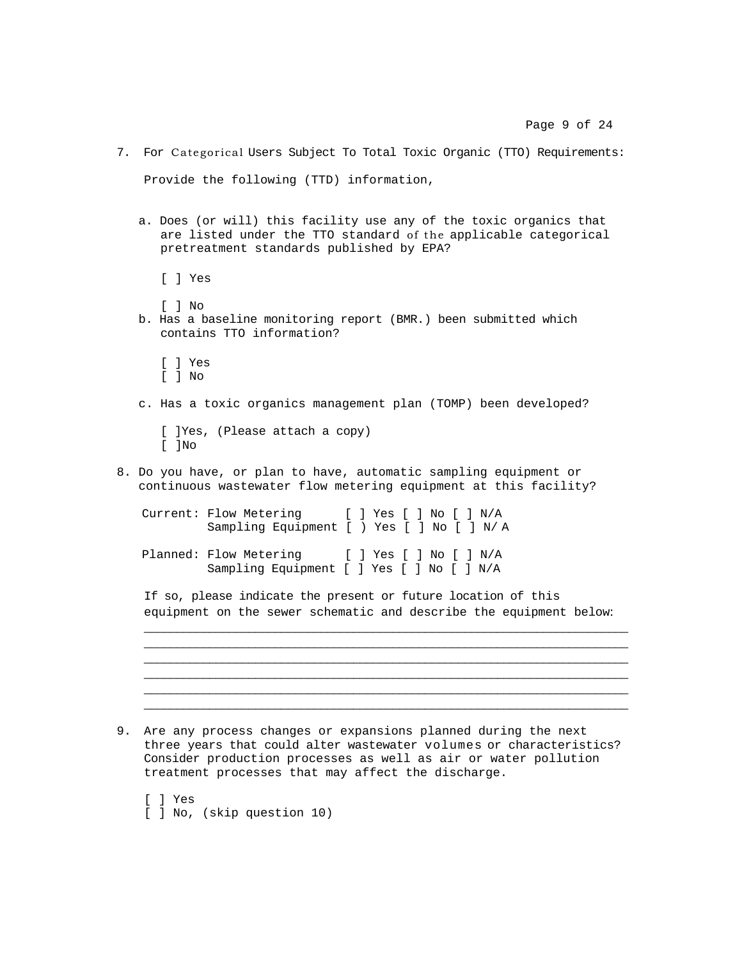Provide the following (TTD) information, a. Does (or will) this facility use any of the toxic organics that are listed under the TTO standard of the applicable categorical pretreatment standards published by EPA? [ ] Yes [ ] No b. Has a baseline monitoring report (BMR.) been submitted which contains TTO information? [ ] Yes [ ] No c. Has a toxic organics management plan (TOMP) been developed? [ ]Yes, (Please attach a copy) [ ]No 8. Do you have, or plan to have, automatic sampling equipment or continuous wastewater flow metering equipment at this facility? Current: Flow Metering [ ] Yes [ ] No [ ] N/A Sampling Equipment [ ) Yes [ ] No [ ] N/ A Planned: Flow Metering [ ] Yes [ ] No [ ] N/A Sampling Equipment [ ] Yes [ ] No [ ] N/A If so, please indicate the present or future location of this equipment on the sewer schematic and describe the equipment below: \_\_\_\_\_\_\_\_\_\_\_\_\_\_\_\_\_\_\_\_\_\_\_\_\_\_\_\_\_\_\_\_\_\_\_\_\_\_\_\_\_\_\_\_\_\_\_\_\_\_\_\_\_\_\_\_\_\_\_\_\_\_\_\_\_\_\_\_\_\_\_\_\_\_ \_\_\_\_\_\_\_\_\_\_\_\_\_\_\_\_\_\_\_\_\_\_\_\_\_\_\_\_\_\_\_\_\_\_\_\_\_\_\_\_\_\_\_\_\_\_\_\_\_\_\_\_\_\_\_\_\_\_\_\_\_\_\_\_\_\_\_\_\_\_\_\_\_\_ \_\_\_\_\_\_\_\_\_\_\_\_\_\_\_\_\_\_\_\_\_\_\_\_\_\_\_\_\_\_\_\_\_\_\_\_\_\_\_\_\_\_\_\_\_\_\_\_\_\_\_\_\_\_\_\_\_\_\_\_\_\_\_\_\_\_\_\_\_\_\_\_\_\_ \_\_\_\_\_\_\_\_\_\_\_\_\_\_\_\_\_\_\_\_\_\_\_\_\_\_\_\_\_\_\_\_\_\_\_\_\_\_\_\_\_\_\_\_\_\_\_\_\_\_\_\_\_\_\_\_\_\_\_\_\_\_\_\_\_\_\_\_\_\_\_\_\_\_ \_\_\_\_\_\_\_\_\_\_\_\_\_\_\_\_\_\_\_\_\_\_\_\_\_\_\_\_\_\_\_\_\_\_\_\_\_\_\_\_\_\_\_\_\_\_\_\_\_\_\_\_\_\_\_\_\_\_\_\_\_\_\_\_\_\_\_\_\_\_\_\_\_\_ \_\_\_\_\_\_\_\_\_\_\_\_\_\_\_\_\_\_\_\_\_\_\_\_\_\_\_\_\_\_\_\_\_\_\_\_\_\_\_\_\_\_\_\_\_\_\_\_\_\_\_\_\_\_\_\_\_\_\_\_\_\_\_\_\_\_\_\_\_\_\_\_\_\_ 9. Are any process changes or expansions planned during the next three years that could alter wastewater volumes or characteristics?

7. For Categorical Users Subject To Total Toxic Organic (TTO) Requirements:

Consider production processes as well as air or water pollution treatment processes that may affect the discharge.

 [ ] Yes [ ] No, (skip question 10)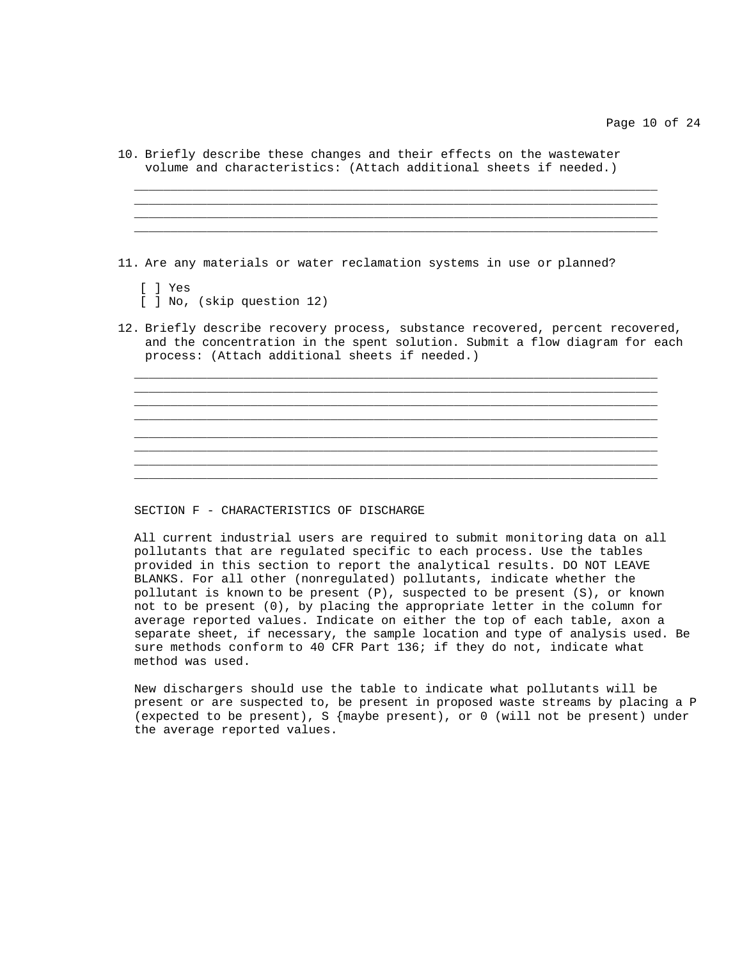|  |  |  |  |  | 10. Briefly describe these changes and their effects on the wastewater |  |
|--|--|--|--|--|------------------------------------------------------------------------|--|
|  |  |  |  |  | volume and characteristics: (Attach additional sheets if needed.)      |  |

\_\_\_\_\_\_\_\_\_\_\_\_\_\_\_\_\_\_\_\_\_\_\_\_\_\_\_\_\_\_\_\_\_\_\_\_\_\_\_\_\_\_\_\_\_\_\_\_\_\_\_\_\_\_\_\_\_\_\_\_\_\_\_\_\_\_\_\_\_\_\_\_

\_\_\_\_\_\_\_\_\_\_\_\_\_\_\_\_\_\_\_\_\_\_\_\_\_\_\_\_\_\_\_\_\_\_\_\_\_\_\_\_\_\_\_\_\_\_\_\_\_\_\_\_\_\_\_\_\_\_\_\_\_\_\_\_\_\_\_\_\_\_\_\_  $\_$  , and the set of the set of the set of the set of the set of the set of the set of the set of the set of the set of the set of the set of the set of the set of the set of the set of the set of the set of the set of th  $\_$  , and the set of the set of the set of the set of the set of the set of the set of the set of the set of the set of the set of the set of the set of the set of the set of the set of the set of the set of the set of th

11. Are any materials or water reclamation systems in use or planned?

\_\_\_\_\_\_\_\_\_\_\_\_\_\_\_\_\_\_\_\_\_\_\_\_\_\_\_\_\_\_\_\_\_\_\_\_\_\_\_\_\_\_\_\_\_\_\_\_\_\_\_\_\_\_\_\_\_\_\_\_\_\_\_\_\_\_\_\_\_\_\_\_

\_\_\_\_\_\_\_\_\_\_\_\_\_\_\_\_\_\_\_\_\_\_\_\_\_\_\_\_\_\_\_\_\_\_\_\_\_\_\_\_\_\_\_\_\_\_\_\_\_\_\_\_\_\_\_\_\_\_\_\_\_\_\_\_\_\_\_\_\_\_\_\_

- [ ] Yes [ ] No, (skip question 12)
- 12. Briefly describe recovery process, substance recovered, percent recovered, and the concentration in the spent solution. Submit a flow diagram for each process: (Attach additional sheets if needed.)

\_\_\_\_\_\_\_\_\_\_\_\_\_\_\_\_\_\_\_\_\_\_\_\_\_\_\_\_\_\_\_\_\_\_\_\_\_\_\_\_\_\_\_\_\_\_\_\_\_\_\_\_\_\_\_\_\_\_\_\_\_\_\_\_\_\_\_\_\_\_\_\_ \_\_\_\_\_\_\_\_\_\_\_\_\_\_\_\_\_\_\_\_\_\_\_\_\_\_\_\_\_\_\_\_\_\_\_\_\_\_\_\_\_\_\_\_\_\_\_\_\_\_\_\_\_\_\_\_\_\_\_\_\_\_\_\_\_\_\_\_\_\_\_\_  $\_$  , and the set of the set of the set of the set of the set of the set of the set of the set of the set of the set of the set of the set of the set of the set of the set of the set of the set of the set of the set of th

 $\_$  , and the set of the set of the set of the set of the set of the set of the set of the set of the set of the set of the set of the set of the set of the set of the set of the set of the set of the set of the set of th \_\_\_\_\_\_\_\_\_\_\_\_\_\_\_\_\_\_\_\_\_\_\_\_\_\_\_\_\_\_\_\_\_\_\_\_\_\_\_\_\_\_\_\_\_\_\_\_\_\_\_\_\_\_\_\_\_\_\_\_\_\_\_\_\_\_\_\_\_\_\_\_  $\_$  ,  $\_$  ,  $\_$  ,  $\_$  ,  $\_$  ,  $\_$  ,  $\_$  ,  $\_$  ,  $\_$  ,  $\_$  ,  $\_$  ,  $\_$  ,  $\_$  ,  $\_$  ,  $\_$  ,  $\_$  ,  $\_$  ,  $\_$  ,  $\_$  ,  $\_$  ,  $\_$  ,  $\_$  ,  $\_$  ,  $\_$  ,  $\_$  ,  $\_$  ,  $\_$  ,  $\_$  ,  $\_$  ,  $\_$  ,  $\_$  ,  $\_$  ,  $\_$  ,  $\_$  ,  $\_$  ,  $\_$  ,  $\_$  ,

#### SECTION F - CHARACTERISTICS OF DISCHARGE

All current industrial users are required to submit monitoring data on all pollutants that are regulated specific to each process. Use the tables provided in this section to report the analytical results. DO NOT LEAVE BLANKS. For all other (nonregulated) pollutants, indicate whether the pollutant is known to be present (P), suspected to be present (S), or known not to be present (0), by placing the appropriate letter in the column for average reported values. Indicate on either the top of each table, axon a separate sheet, if necessary, the sample location and type of analysis used. Be sure methods conform to 40 CFR Part 136; if they do not, indicate what method was used.

New dischargers should use the table to indicate what pollutants will be present or are suspected to, be present in proposed waste streams by placing a P (expected to be present), S {maybe present), or 0 (will not be present) under the average reported values.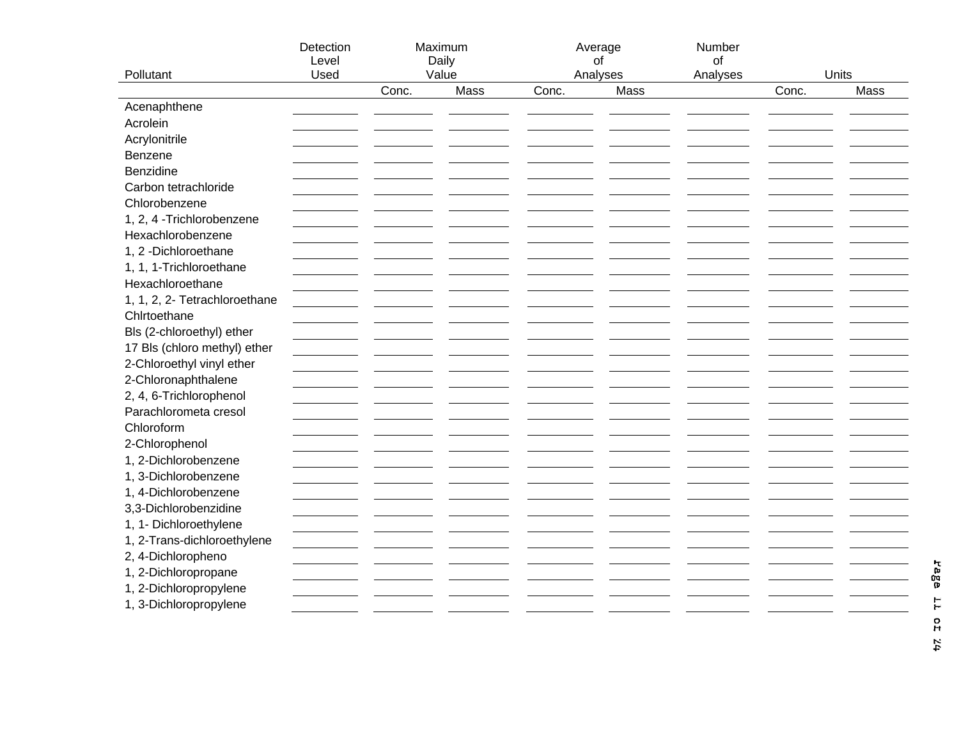|                               | Detection<br>Level |       | Maximum<br>Daily | Average | of               | Number<br>of |                        |  |
|-------------------------------|--------------------|-------|------------------|---------|------------------|--------------|------------------------|--|
| Pollutant                     | Used               | Conc. | Value<br>Mass    | Conc.   | Analyses<br>Mass | Analyses     | Units<br>Mass<br>Conc. |  |
| Acenaphthene                  |                    |       |                  |         |                  |              |                        |  |
| Acrolein                      |                    |       |                  |         |                  |              |                        |  |
| Acrylonitrile                 |                    |       |                  |         |                  |              |                        |  |
| Benzene                       |                    |       |                  |         |                  |              |                        |  |
| Benzidine                     |                    |       |                  |         |                  |              |                        |  |
| Carbon tetrachloride          |                    |       |                  |         |                  |              |                        |  |
| Chlorobenzene                 |                    |       |                  |         |                  |              |                        |  |
| 1, 2, 4 - Trichlorobenzene    |                    |       |                  |         |                  |              |                        |  |
| Hexachlorobenzene             |                    |       |                  |         |                  |              |                        |  |
| 1, 2 -Dichloroethane          |                    |       |                  |         |                  |              |                        |  |
| 1, 1, 1-Trichloroethane       |                    |       |                  |         |                  |              |                        |  |
| Hexachloroethane              |                    |       |                  |         |                  |              |                        |  |
| 1, 1, 2, 2- Tetrachloroethane |                    |       |                  |         |                  |              |                        |  |
| Chlrtoethane                  |                    |       |                  |         |                  |              |                        |  |
| Bls (2-chloroethyl) ether     |                    |       |                  |         |                  |              |                        |  |
| 17 Bls (chloro methyl) ether  |                    |       |                  |         |                  |              |                        |  |
| 2-Chloroethyl vinyl ether     |                    |       |                  |         |                  |              |                        |  |
| 2-Chloronaphthalene           |                    |       |                  |         |                  |              |                        |  |
| 2, 4, 6-Trichlorophenol       |                    |       |                  |         |                  |              |                        |  |
| Parachlorometa cresol         |                    |       |                  |         |                  |              |                        |  |
| Chloroform                    |                    |       |                  |         |                  |              |                        |  |
| 2-Chlorophenol                |                    |       |                  |         |                  |              |                        |  |
| 1, 2-Dichlorobenzene          |                    |       |                  |         |                  |              |                        |  |
| 1, 3-Dichlorobenzene          |                    |       |                  |         |                  |              |                        |  |
| 1, 4-Dichlorobenzene          |                    |       |                  |         |                  |              |                        |  |
| 3,3-Dichlorobenzidine         |                    |       |                  |         |                  |              |                        |  |
| 1, 1- Dichloroethylene        |                    |       |                  |         |                  |              |                        |  |
| 1, 2-Trans-dichloroethylene   |                    |       |                  |         |                  |              |                        |  |
| 2, 4-Dichloropheno            |                    |       |                  |         |                  |              |                        |  |
| 1, 2-Dichloropropane          |                    |       |                  |         |                  |              |                        |  |
| 1, 2-Dichloropropylene        |                    |       |                  |         |                  |              |                        |  |
| 1, 3-Dichloropropylene        |                    |       |                  |         |                  |              |                        |  |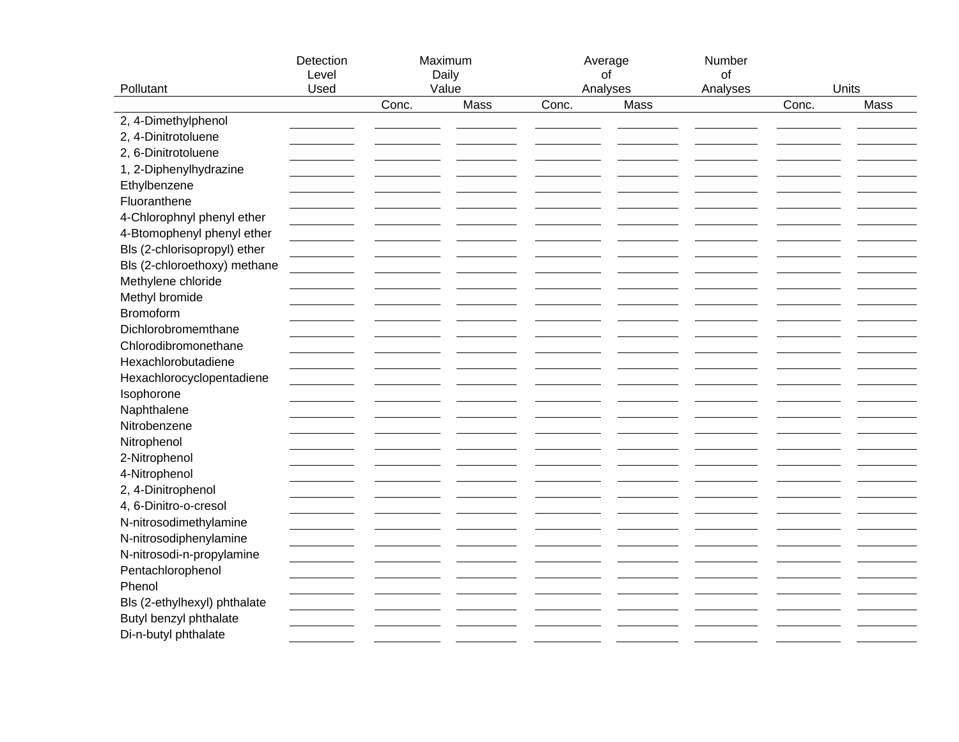|                              | Detection<br>Level | Maximum<br>Daily<br>Value |      | Average<br>of     |      | Number<br>οf<br>Analyses | Units |      |
|------------------------------|--------------------|---------------------------|------|-------------------|------|--------------------------|-------|------|
| Pollutant                    | Used               | Conc.                     | Mass | Analyses<br>Conc. | Mass |                          | Conc. | Mass |
| 2, 4-Dimethylphenol          |                    |                           |      |                   |      |                          |       |      |
| 2, 4-Dinitrotoluene          |                    |                           |      |                   |      |                          |       |      |
| 2, 6-Dinitrotoluene          |                    |                           |      |                   |      |                          |       |      |
| 1, 2-Diphenylhydrazine       |                    |                           |      |                   |      |                          |       |      |
| Ethylbenzene                 |                    |                           |      |                   |      |                          |       |      |
| Fluoranthene                 |                    |                           |      |                   |      |                          |       |      |
|                              |                    |                           |      |                   |      |                          |       |      |
| 4-Chlorophnyl phenyl ether   |                    |                           |      |                   |      |                          |       |      |
| 4-Btomophenyl phenyl ether   |                    |                           |      |                   |      |                          |       |      |
| Bls (2-chlorisopropyl) ether |                    |                           |      |                   |      |                          |       |      |
| Bls (2-chloroethoxy) methane |                    |                           |      |                   |      |                          |       |      |
| Methylene chloride           |                    |                           |      |                   |      |                          |       |      |
| Methyl bromide               |                    |                           |      |                   |      |                          |       |      |
| Bromoform                    |                    |                           |      |                   |      |                          |       |      |
| Dichlorobromemthane          |                    |                           |      |                   |      |                          |       |      |
| Chlorodibromonethane         |                    |                           |      |                   |      |                          |       |      |
| Hexachlorobutadiene          |                    |                           |      |                   |      |                          |       |      |
| Hexachlorocyclopentadiene    |                    |                           |      |                   |      |                          |       |      |
| Isophorone                   |                    |                           |      |                   |      |                          |       |      |
| Naphthalene                  |                    |                           |      |                   |      |                          |       |      |
| Nitrobenzene                 |                    |                           |      |                   |      |                          |       |      |
| Nitrophenol                  |                    |                           |      |                   |      |                          |       |      |
| 2-Nitrophenol                |                    |                           |      |                   |      |                          |       |      |
| 4-Nitrophenol                |                    |                           |      |                   |      |                          |       |      |
| 2, 4-Dinitrophenol           |                    |                           |      |                   |      |                          |       |      |
| 4, 6-Dinitro-o-cresol        |                    |                           |      |                   |      |                          |       |      |
| N-nitrosodimethylamine       |                    |                           |      |                   |      |                          |       |      |
| N-nitrosodiphenylamine       |                    |                           |      |                   |      |                          |       |      |
| N-nitrosodi-n-propylamine    |                    |                           |      |                   |      |                          |       |      |
| Pentachlorophenol            |                    |                           |      |                   |      |                          |       |      |
| Phenol                       |                    |                           |      |                   |      |                          |       |      |
| Bls (2-ethylhexyl) phthalate |                    |                           |      |                   |      |                          |       |      |
| Butyl benzyl phthalate       |                    |                           |      |                   |      |                          |       |      |
| Di-n-butyl phthalate         |                    |                           |      |                   |      |                          |       |      |
|                              |                    |                           |      |                   |      |                          |       |      |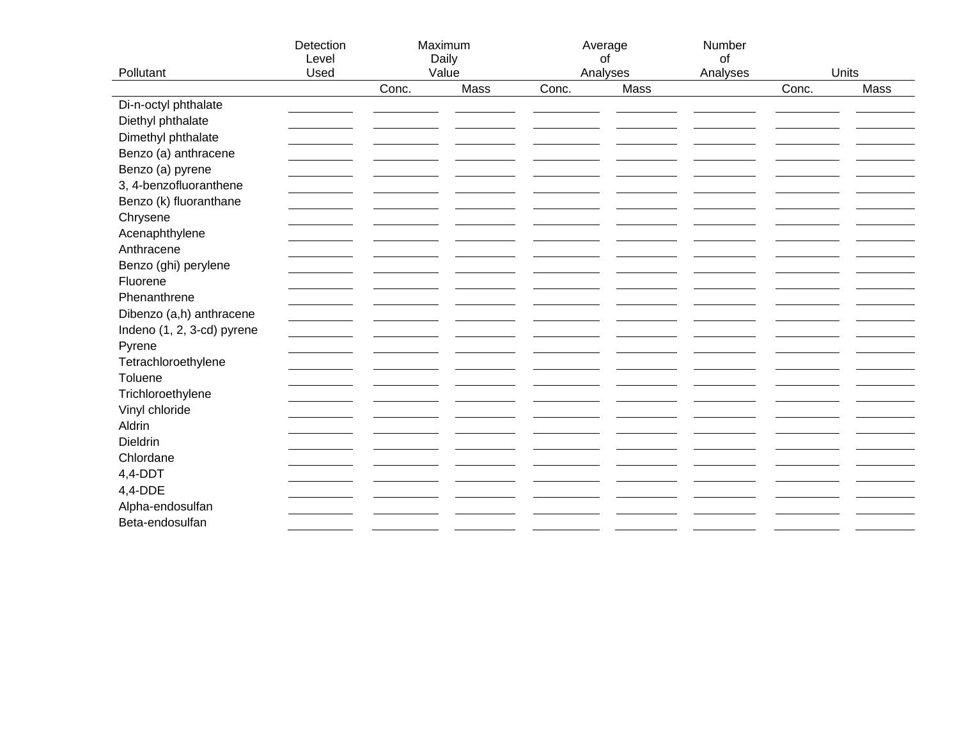|                            | Detection |       | Maximum       | Average |                  | Number   |                |      |
|----------------------------|-----------|-------|---------------|---------|------------------|----------|----------------|------|
|                            | Level     |       | Daily         |         | of               | of       |                |      |
| Pollutant                  | Used      | Conc. | Value<br>Mass | Conc.   | Analyses<br>Mass | Analyses | Units<br>Conc. | Mass |
| Di-n-octyl phthalate       |           |       |               |         |                  |          |                |      |
| Diethyl phthalate          |           |       |               |         |                  |          |                |      |
| Dimethyl phthalate         |           |       |               |         |                  |          |                |      |
|                            |           |       |               |         |                  |          |                |      |
| Benzo (a) anthracene       |           |       |               |         |                  |          |                |      |
| Benzo (a) pyrene           |           |       |               |         |                  |          |                |      |
| 3, 4-benzofluoranthene     |           |       |               |         |                  |          |                |      |
| Benzo (k) fluoranthane     |           |       |               |         |                  |          |                |      |
| Chrysene                   |           |       |               |         |                  |          |                |      |
| Acenaphthylene             |           |       |               |         |                  |          |                |      |
| Anthracene                 |           |       |               |         |                  |          |                |      |
| Benzo (ghi) perylene       |           |       |               |         |                  |          |                |      |
| Fluorene                   |           |       |               |         |                  |          |                |      |
| Phenanthrene               |           |       |               |         |                  |          |                |      |
| Dibenzo (a,h) anthracene   |           |       |               |         |                  |          |                |      |
| Indeno (1, 2, 3-cd) pyrene |           |       |               |         |                  |          |                |      |
| Pyrene                     |           |       |               |         |                  |          |                |      |
| Tetrachloroethylene        |           |       |               |         |                  |          |                |      |
| Toluene                    |           |       |               |         |                  |          |                |      |
| Trichloroethylene          |           |       |               |         |                  |          |                |      |
| Vinyl chloride             |           |       |               |         |                  |          |                |      |
| Aldrin                     |           |       |               |         |                  |          |                |      |
| Dieldrin                   |           |       |               |         |                  |          |                |      |
| Chlordane                  |           |       |               |         |                  |          |                |      |
| $4,4$ -DDT                 |           |       |               |         |                  |          |                |      |
| 4,4-DDE                    |           |       |               |         |                  |          |                |      |
| Alpha-endosulfan           |           |       |               |         |                  |          |                |      |
| Beta-endosulfan            |           |       |               |         |                  |          |                |      |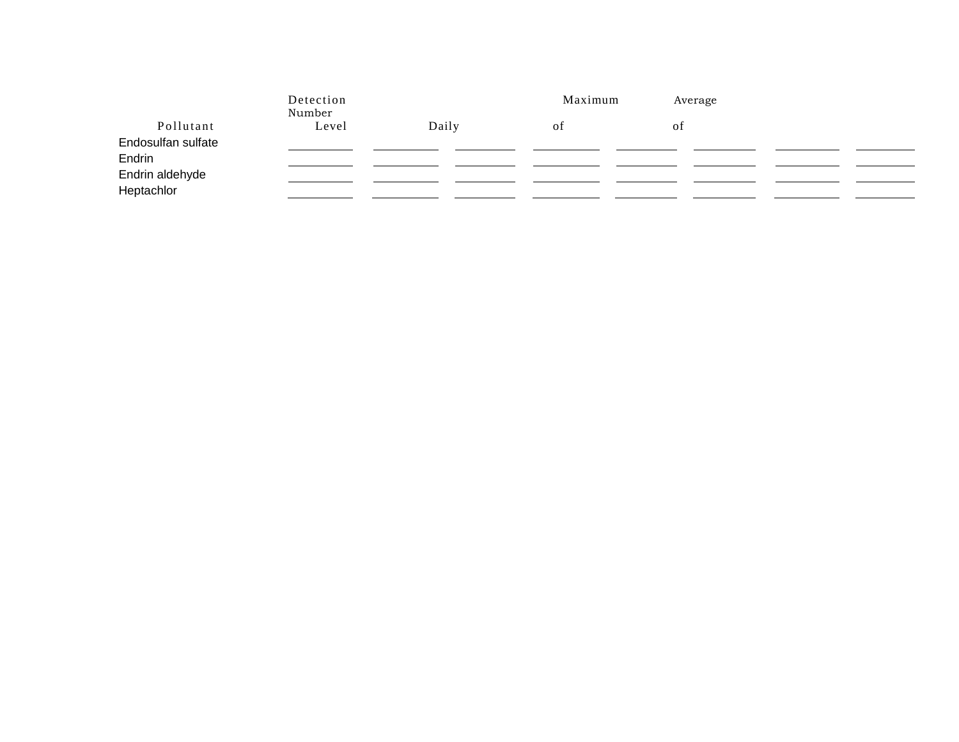|                               | Detection<br>Number |       | Maximum | Average |  |
|-------------------------------|---------------------|-------|---------|---------|--|
| Pollutant                     | Level               | Daily | οt      | ΟĪ      |  |
| Endosulfan sulfate<br>Endrin  |                     |       |         |         |  |
| Endrin aldehyde<br>Heptachlor |                     |       |         |         |  |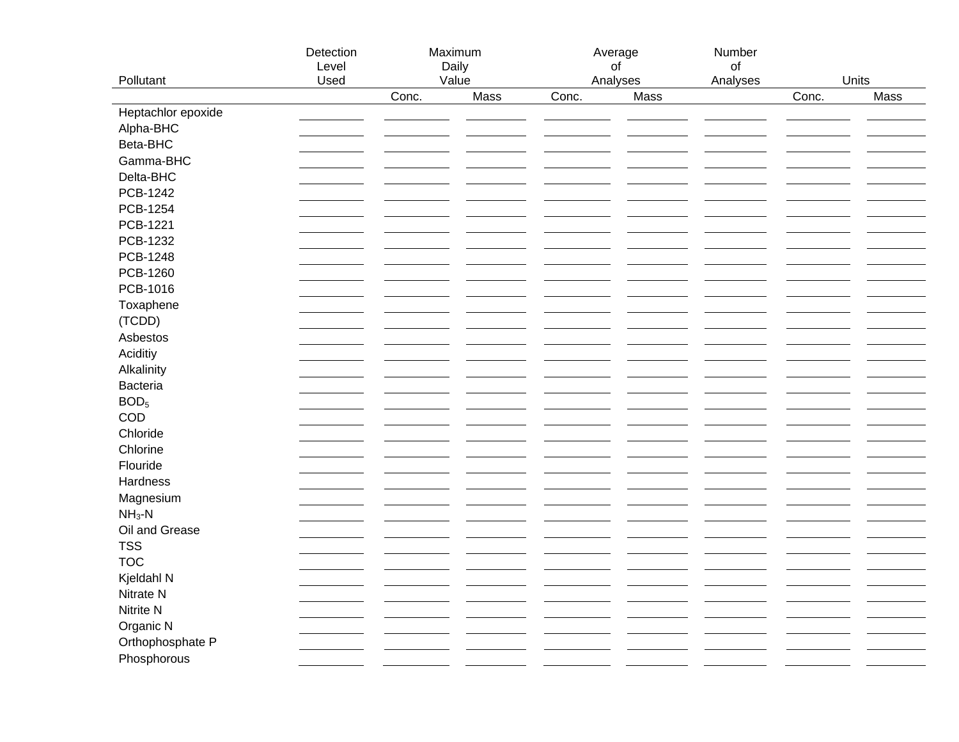|                    | Detection<br>Level |       | Maximum<br>Daily | Average<br>of |      | Number<br>of |       |      |
|--------------------|--------------------|-------|------------------|---------------|------|--------------|-------|------|
| Pollutant          | Used               |       | Value            | Analyses      |      | Analyses     | Units |      |
|                    |                    | Conc. | Mass             | Conc.         | Mass |              | Conc. | Mass |
| Heptachlor epoxide |                    |       |                  |               |      |              |       |      |
| Alpha-BHC          |                    |       |                  |               |      |              |       |      |
| Beta-BHC           |                    |       |                  |               |      |              |       |      |
| Gamma-BHC          |                    |       |                  |               |      |              |       |      |
| Delta-BHC          |                    |       |                  |               |      |              |       |      |
| PCB-1242           |                    |       |                  |               |      |              |       |      |
| PCB-1254           |                    |       |                  |               |      |              |       |      |
| PCB-1221           |                    |       |                  |               |      |              |       |      |
| PCB-1232           |                    |       |                  |               |      |              |       |      |
| PCB-1248           |                    |       |                  |               |      |              |       |      |
| PCB-1260           |                    |       |                  |               |      |              |       |      |
| PCB-1016           |                    |       |                  |               |      |              |       |      |
| Toxaphene          |                    |       |                  |               |      |              |       |      |
| (TCDD)             |                    |       |                  |               |      |              |       |      |
| Asbestos           |                    |       |                  |               |      |              |       |      |
| Aciditiy           |                    |       |                  |               |      |              |       |      |
| Alkalinity         |                    |       |                  |               |      |              |       |      |
| Bacteria           |                    |       |                  |               |      |              |       |      |
| BOD <sub>5</sub>   |                    |       |                  |               |      |              |       |      |
| COD                |                    |       |                  |               |      |              |       |      |
| Chloride           |                    |       |                  |               |      |              |       |      |
| Chlorine           |                    |       |                  |               |      |              |       |      |
| Flouride           |                    |       |                  |               |      |              |       |      |
| Hardness           |                    |       |                  |               |      |              |       |      |
| Magnesium          |                    |       |                  |               |      |              |       |      |
| $NH3-N$            |                    |       |                  |               |      |              |       |      |
| Oil and Grease     |                    |       |                  |               |      |              |       |      |
| <b>TSS</b>         |                    |       |                  |               |      |              |       |      |
| <b>TOC</b>         |                    |       |                  |               |      |              |       |      |
| Kjeldahl N         |                    |       |                  |               |      |              |       |      |
| Nitrate N          |                    |       |                  |               |      |              |       |      |
|                    |                    |       |                  |               |      |              |       |      |
| Nitrite N          |                    |       |                  |               |      |              |       |      |
| Organic N          |                    |       |                  |               |      |              |       |      |
| Orthophosphate P   |                    |       |                  |               |      |              |       |      |
| Phosphorous        |                    |       |                  |               |      |              |       |      |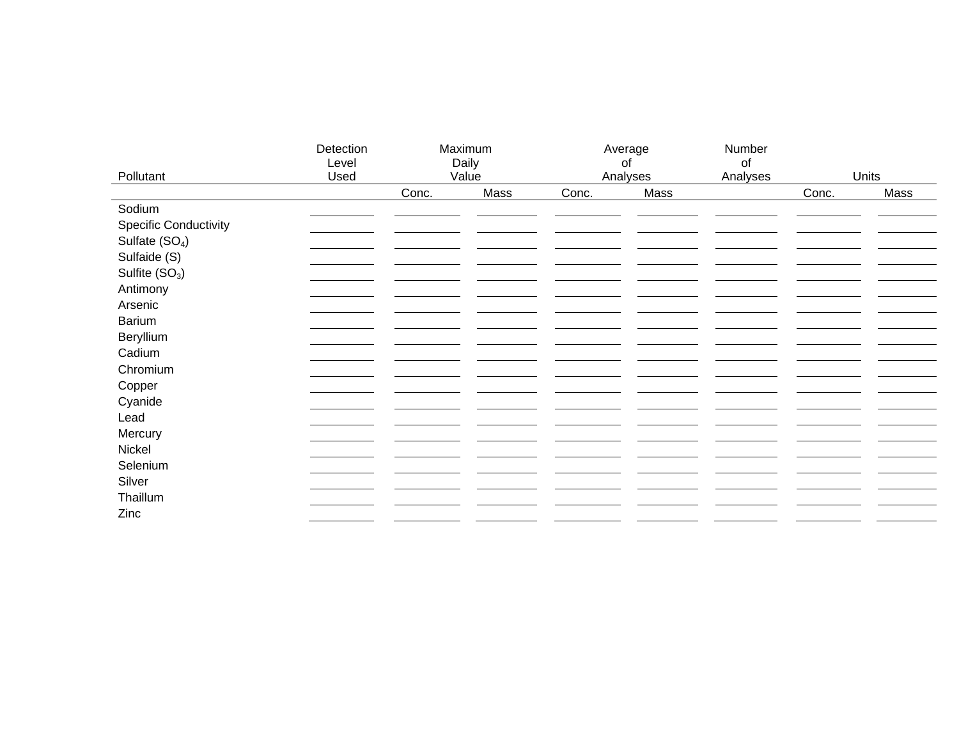|                              | Detection<br>Level | Maximum<br>Daily |      | Average<br>of |      | Number<br>of |       |      |
|------------------------------|--------------------|------------------|------|---------------|------|--------------|-------|------|
| Pollutant                    | Used               | Value            |      | Analyses      |      | Analyses     | Units |      |
|                              |                    | Conc.            | Mass | Conc.         | Mass |              | Conc. | Mass |
| Sodium                       |                    |                  |      |               |      |              |       |      |
| <b>Specific Conductivity</b> |                    |                  |      |               |      |              |       |      |
| Sulfate (SO <sub>4</sub> )   |                    |                  |      |               |      |              |       |      |
| Sulfaide (S)                 |                    |                  |      |               |      |              |       |      |
| Sulfite (SO <sub>3</sub> )   |                    |                  |      |               |      |              |       |      |
| Antimony                     |                    |                  |      |               |      |              |       |      |
| Arsenic                      |                    |                  |      |               |      |              |       |      |
| Barium                       |                    |                  |      |               |      |              |       |      |
| Beryllium                    |                    |                  |      |               |      |              |       |      |
| Cadium                       |                    |                  |      |               |      |              |       |      |
| Chromium                     |                    |                  |      |               |      |              |       |      |
| Copper                       |                    |                  |      |               |      |              |       |      |
| Cyanide                      |                    |                  |      |               |      |              |       |      |
| Lead                         |                    |                  |      |               |      |              |       |      |
| Mercury                      |                    |                  |      |               |      |              |       |      |
| Nickel                       |                    |                  |      |               |      |              |       |      |
| Selenium                     |                    |                  |      |               |      |              |       |      |
| Silver                       |                    |                  |      |               |      |              |       |      |
| Thaillum                     |                    |                  |      |               |      |              |       |      |
| Zinc                         |                    |                  |      |               |      |              |       |      |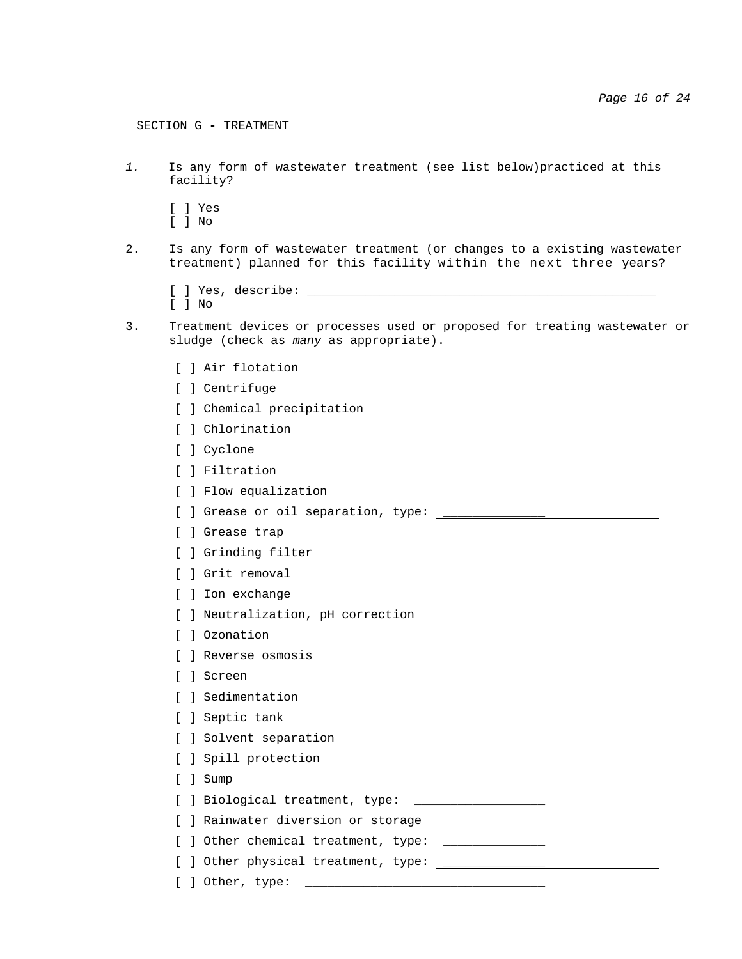SECTION G **-** TREATMENT

*1.* Is any form of wastewater treatment (see list below)practiced at this facility?

[ ] Yes

- [ ] No
- 2. Is any form of wastewater treatment (or changes to a existing wastewater treatment) planned for this facility within the next three years?
	- [ ] Yes, describe: \_\_\_\_\_\_\_\_\_\_\_\_\_\_\_\_\_\_\_\_\_\_\_\_\_\_\_\_\_\_\_\_\_\_\_\_\_\_\_\_\_\_\_\_\_\_\_\_ [ ] No
- 3. Treatment devices or processes used or proposed for treating wastewater or sludge (check as *many* as appropriate).
	- [ ] Air flotation
	- [ ] Centrifuge
	- [ ] Chemical precipitation
	- [ ] Chlorination
	- [ ] Cyclone
	- [ ] Filtration
	- [ ] Flow equalization
	- [ ] Grease or oil separation, type:  $\frac{1}{\sqrt{1-\frac{1}{2}}}\frac{1}{\sqrt{1-\frac{1}{2}}}\frac{1}{\sqrt{1-\frac{1}{2}}}\frac{1}{\sqrt{1-\frac{1}{2}}}\frac{1}{\sqrt{1-\frac{1}{2}}}\frac{1}{\sqrt{1-\frac{1}{2}}}\frac{1}{\sqrt{1-\frac{1}{2}}}\frac{1}{\sqrt{1-\frac{1}{2}}}\frac{1}{\sqrt{1-\frac{1}{2}}}\frac{1}{\sqrt{1-\frac{1}{2}}}\frac{1}{\sqrt{1-\frac{1}{2}}}\frac{1}{\sqrt{1$
	- [ ] Grease trap
	- [ ] Grinding filter
	- [ ] Grit removal
	- [ ] Ion exchange
	- [ ] Neutralization, pH correction
	- [ ] Ozonation
	- [ ] Reverse osmosis
	- [ ] Screen
	- [ ] Sedimentation
	- [ ] Septic tank
	- [ ] Solvent separation
	- [ ] Spill protection
	- [ ] Sump
	- [ ] Biological treatment, type: \_\_\_\_\_\_\_\_\_\_\_\_\_\_\_\_\_\_\_\_\_\_
	- [ ] Rainwater diversion or storage
	- [ ] Other chemical treatment, type: \_\_\_\_\_\_\_\_\_\_\_\_\_\_
	- [ ] Other physical treatment, type:  $\frac{1}{\sqrt{1-\frac{1}{2}}\sqrt{1-\frac{1}{2}}\sqrt{1-\frac{1}{2}}\sqrt{1-\frac{1}{2}}\sqrt{1-\frac{1}{2}}\sqrt{1-\frac{1}{2}}\sqrt{1-\frac{1}{2}}\sqrt{1-\frac{1}{2}}\sqrt{1-\frac{1}{2}}\sqrt{1-\frac{1}{2}}\sqrt{1-\frac{1}{2}}\sqrt{1-\frac{1}{2}}\sqrt{1-\frac{1}{2}}\sqrt{1-\frac{1}{2}}\sqrt{1-\frac{1}{2}}\sqrt{1-\frac{1}{2}}\sqrt{1$
	- $[$  ] Other, type:  $\frac{1}{\sqrt{2}}$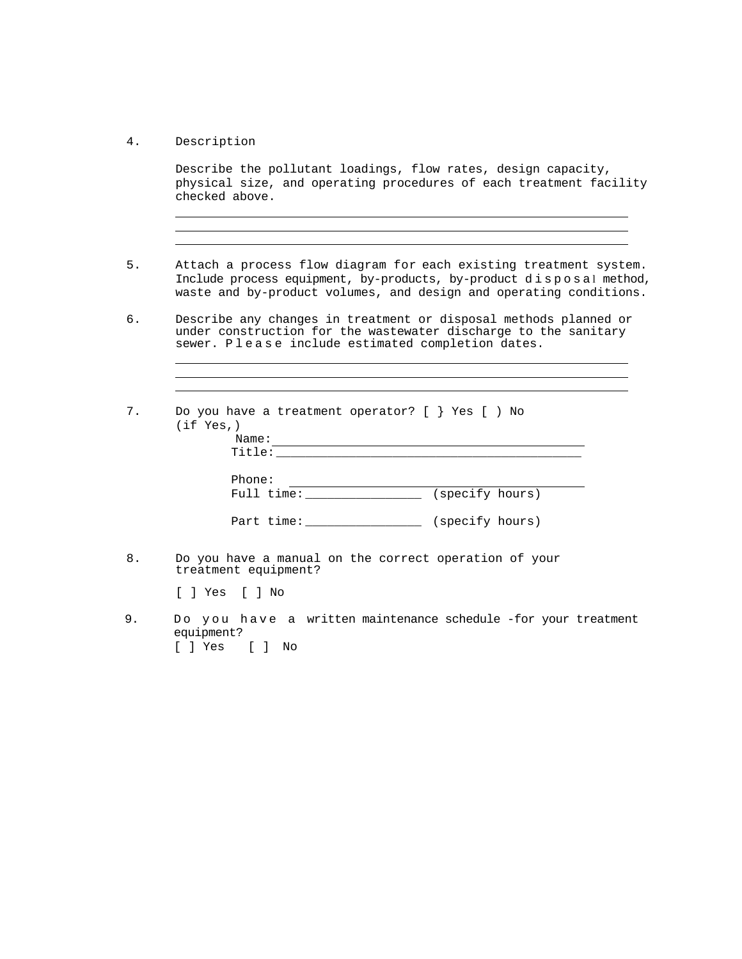4. Description

Describe the pollutant loadings, flow rates, design capacity, physical size, and operating procedures of each treatment facility checked above.

<u> 1980 - Johann Barbara, martin amerikan basar dan berasal dan berasal dalam basar dalam basar dalam basar dala</u>

- 5. Attach a process flow diagram for each existing treatment system. Include process equipment, by-products, by-product disposal method, waste and by-product volumes, and design and operating conditions.
- 6. Describe any changes in treatment or disposal methods planned or under construction for the wastewater discharge to the sanitary sewer. Please include estimated completion dates.

| 7. | Do you have a treatment operator? $[ \ \}$ Yes $[ \ )$ No<br>(if Yes.)<br>Name: |                 |  |
|----|---------------------------------------------------------------------------------|-----------------|--|
|    | Title:                                                                          |                 |  |
|    | Phone:<br>Full time:                                                            | (specify hours) |  |
|    | Part time:                                                                      | (specify hours) |  |

8. Do you have a manual on the correct operation of your treatment equipment?

[ ] Yes [ ] No

9. Do you have a written maintenance schedule -for your treatment equipment? [ ] Yes [ ] No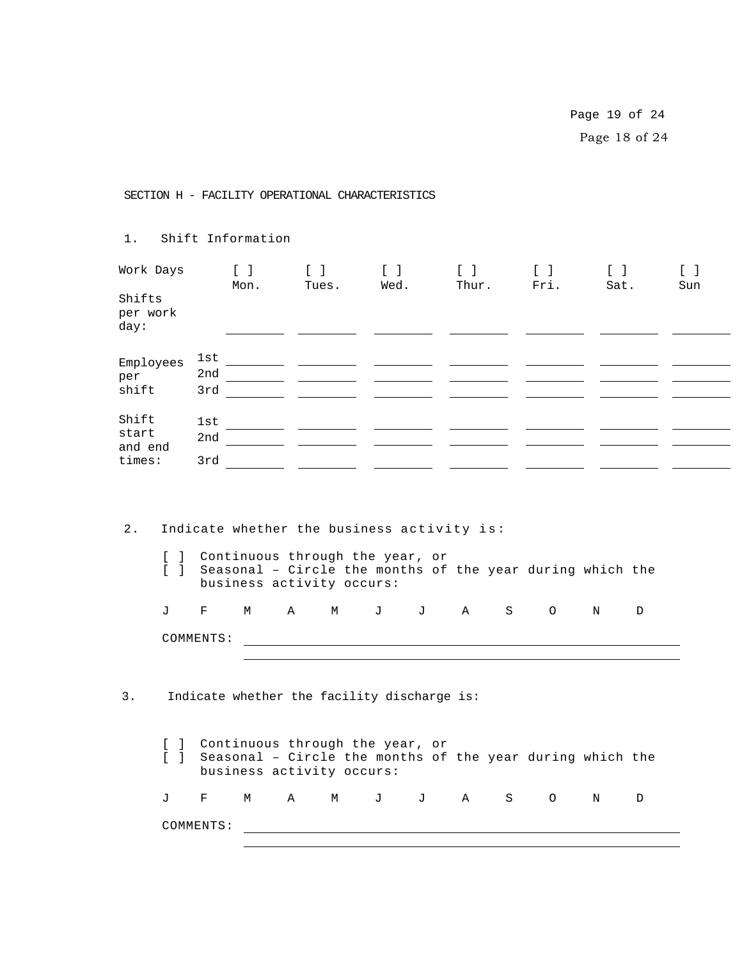Page 19 of 24 Page 18 of 24

SECTION H - FACILITY OPERATIONAL CHARACTERISTICS

| 1.                                      |                                  |                          | Shift Information                                                                                                                                                               |                                                |   |                                                                     |                                                |   |                                               |      |   |                                              |
|-----------------------------------------|----------------------------------|--------------------------|---------------------------------------------------------------------------------------------------------------------------------------------------------------------------------|------------------------------------------------|---|---------------------------------------------------------------------|------------------------------------------------|---|-----------------------------------------------|------|---|----------------------------------------------|
| Work Days<br>Shifts<br>per work<br>day: |                                  |                          | $\begin{bmatrix} 1 & 1 \end{bmatrix}$<br>Mon.                                                                                                                                   | $\begin{bmatrix} 1 & 1 \end{bmatrix}$<br>Tues. |   | $\begin{bmatrix} 1 & 1 \end{bmatrix}$<br>Wed.                       | $\begin{bmatrix} 1 & 1 \end{bmatrix}$<br>Thur. |   | $\begin{bmatrix} 1 & 1 \end{bmatrix}$<br>Fri. | Sat. |   | $\begin{bmatrix} 1 & 1 \end{bmatrix}$<br>Sun |
| Employees<br>per<br>shift               |                                  | 3rd                      |                                                                                                                                                                                 |                                                |   | <u>and the state of the state</u>                                   |                                                |   |                                               |      |   |                                              |
| Shift<br>start<br>and end<br>times:     |                                  | lst<br>3rd               |                                                                                                                                                                                 |                                                |   | $\frac{1}{2}$ and $\frac{1}{2}$ and $\frac{1}{2}$ and $\frac{1}{2}$ |                                                |   |                                               |      |   |                                              |
| 2.                                      |                                  |                          | Indicate whether the business activity is:<br>[ ] Continuous through the year, or<br>[ ] Seasonal - Circle the months of the year during which the<br>business activity occurs: |                                                |   |                                                                     |                                                |   |                                               |      |   |                                              |
|                                         | J                                | $F$ and $F$<br>COMMENTS: | M                                                                                                                                                                               | $\mathbf{A}$                                   | M |                                                                     | J J A S O                                      |   |                                               | N    | D |                                              |
| 3.                                      |                                  |                          | Indicate whether the facility discharge is:                                                                                                                                     |                                                |   |                                                                     |                                                |   |                                               |      |   |                                              |
|                                         | $\begin{array}{ccc} \end{array}$ |                          | [ ] Continuous through the year, or<br>Seasonal - Circle the months of the year during which the<br>business activity occurs:                                                   |                                                |   |                                                                     |                                                |   |                                               |      |   |                                              |
|                                         | J                                | F                        | М                                                                                                                                                                               | $\mathbf{A}$                                   | M | $J$ and $J$                                                         | J A                                            | S | $\circ$                                       | N    | D |                                              |
|                                         |                                  | COMMENTS:                |                                                                                                                                                                                 |                                                |   |                                                                     |                                                |   |                                               |      |   |                                              |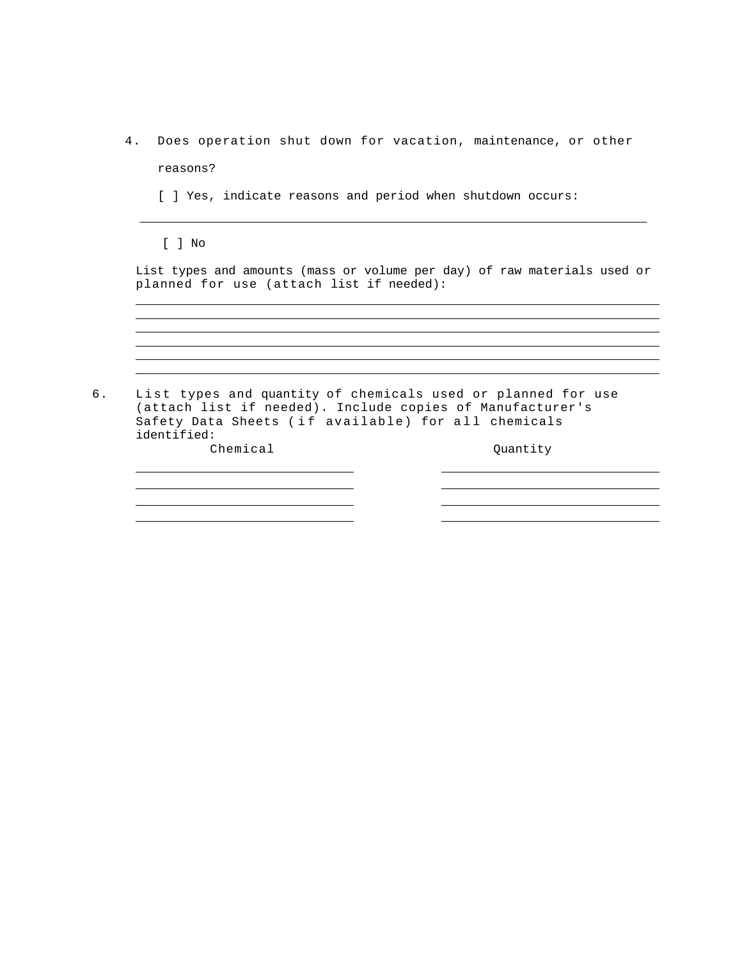- 4. Does operation shut down for vacation, maintenance, or other reasons?
	- [ ] Yes, indicate reasons and period when shutdown occurs:

[ ] No

i<br>S 

List types and amounts (mass or volume per day) of raw materials used or planned for use (attach list if needed):

<u> 1989 - Johann Stoff, deutscher Stoff, der Stoff, der Stoff, der Stoff, der Stoff, der Stoff, der Stoff, der S</u> 

| 6. List types and quantity of chemicals used or planned for use<br>(attach list if needed). Include copies of Manufacturer's<br>Safety Data Sheets (if available) for all chemicals<br>identified: |          |
|----------------------------------------------------------------------------------------------------------------------------------------------------------------------------------------------------|----------|
| Chemical                                                                                                                                                                                           | Ouantity |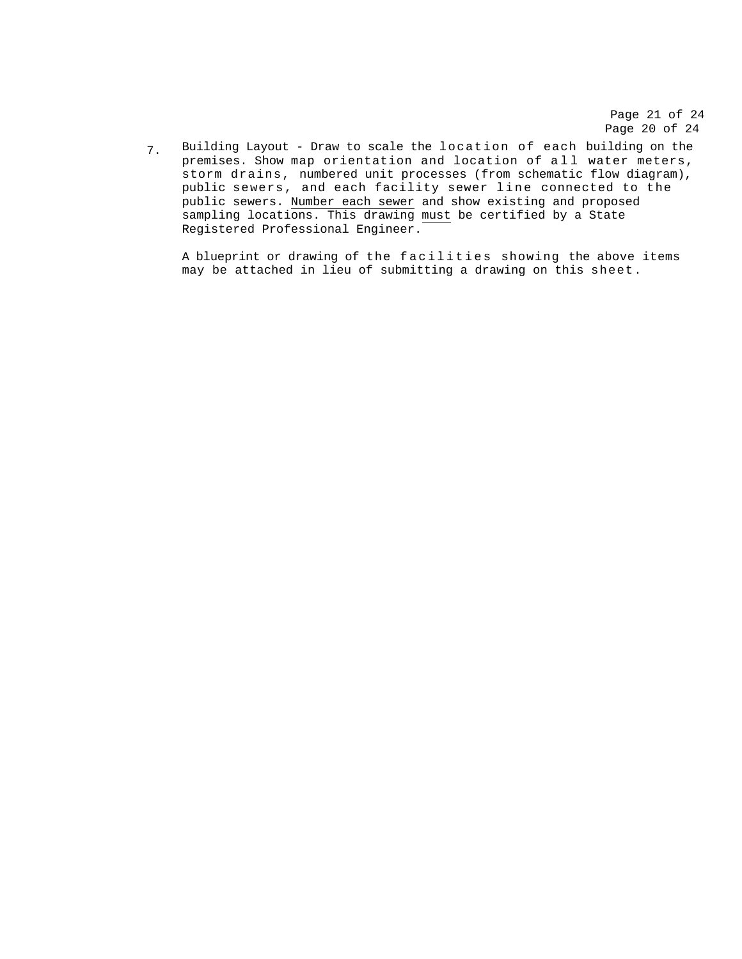Page 21 of 24 Page 20 of 24

Building Layout - Draw to scale the location of each building on the premises. Show map orientation and location of all water meters, storm drains, numbered unit processes (from schematic flow diagram), public sewers, and each facility sewer line connected to the public sewers. Number each sewer and show existing and proposed sampling locations. This drawing must be certified by a State Registered Professional Engineer. 7.

A blueprint or drawing of the facilities showing the above items may be attached in lieu of submitting a drawing on this sheet.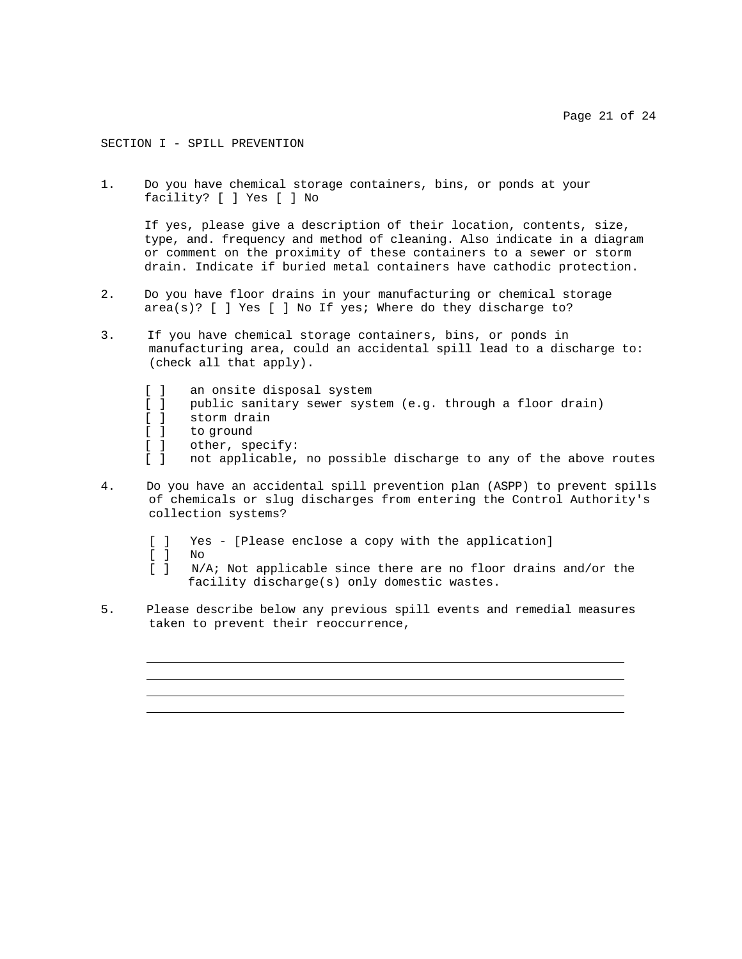#### SECTION I - SPILL PREVENTION

1. Do you have chemical storage containers, bins, or ponds at your facility? [ ] Yes [ ] No

If yes, please give a description of their location, contents, size, type, and. frequency and method of cleaning. Also indicate in a diagram or comment on the proximity of these containers to a sewer or storm drain. Indicate if buried metal containers have cathodic protection.

- 2. Do you have floor drains in your manufacturing or chemical storage area(s)? [ ] Yes [ ] No If yes; Where do they discharge to?
- 3. If you have chemical storage containers, bins, or ponds in manufacturing area, could an accidental spill lead to a discharge to: (check all that apply).
	- [ ] an onsite disposal system
	- [ ] public sanitary sewer system (e.g. through a floor drain)
	- [ ] storm drain
	- [ ] to ground
	- [ ] other, specify:<br>[ ] not applicable,
	- [ ] not applicable, no possible discharge to any of the above routes
- 4. Do you have an accidental spill prevention plan (ASPP) to prevent spills of chemicals or slug discharges from entering the Control Authority's collection systems?
	- [ ] Yes [Please enclose a copy with the application]
	- [ ] No
	- [ ] N/A; Not applicable since there are no floor drains and/or the facility discharge(s) only domestic wastes.
- 5. Please describe below any previous spill events and remedial measures taken to prevent their reoccurrence,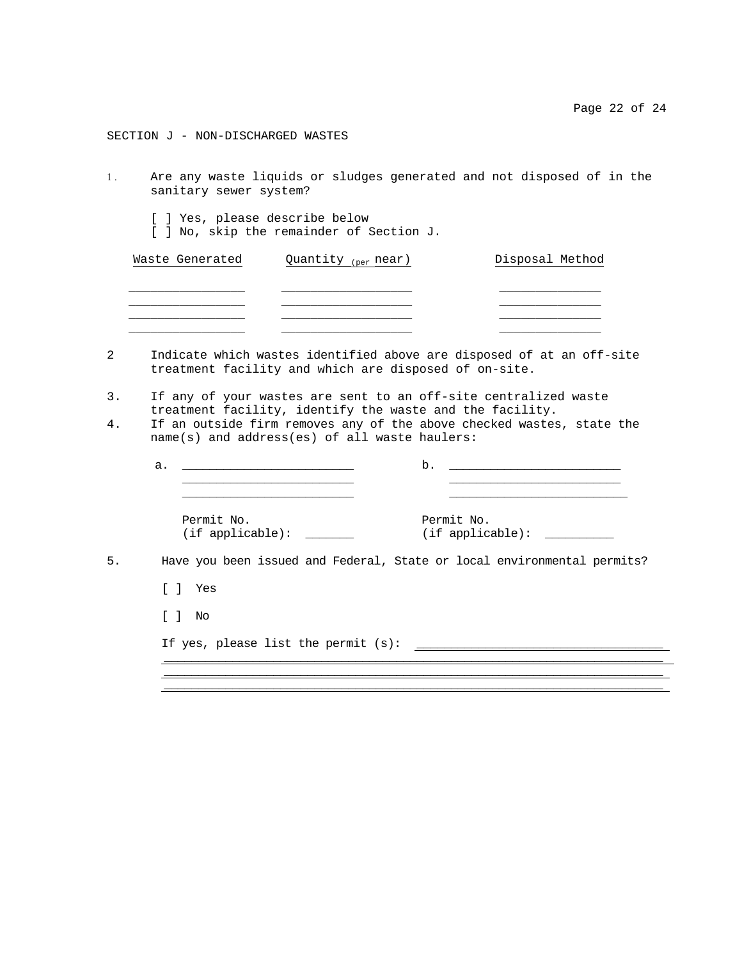SECTION J - NON-DISCHARGED WASTES

- 1. Are any waste liquids or sludges generated and not disposed of in the sanitary sewer system?
	- [ ] Yes, please describe below
	- [ ] No, skip the remainder of Section J.

| Waste Generated | Quantity (per near) | Disposal Method |
|-----------------|---------------------|-----------------|
|                 |                     |                 |
|                 |                     |                 |
|                 |                     |                 |
|                 |                     |                 |

- 2 Indicate which wastes identified above are disposed of at an off-site treatment facility and which are disposed of on-site.
- 3. If any of your wastes are sent to an off-site centralized waste treatment facility, identify the waste and the facility.
- 4. If an outside firm removes any of the above checked wastes, state the name(s) and address(es) of all waste haulers:

| a. |                                                                         | b.                          |
|----|-------------------------------------------------------------------------|-----------------------------|
|    | Permit No.<br>$(if applied)$ :                                          | Permit No.<br>(if applied): |
|    | Have you been issued and Federal, State or local environmental permits? |                             |
| Γl | Yes                                                                     |                             |
|    | [ ] No                                                                  |                             |
|    | If yes, please list the permit $(s)$ : __                               |                             |

\_\_\_\_\_\_\_\_\_\_\_\_\_\_\_\_\_\_\_\_\_\_\_\_\_\_\_\_\_\_\_\_\_\_\_\_\_\_\_\_\_\_\_\_\_\_\_\_\_\_\_\_\_\_\_\_\_\_\_\_\_\_\_\_\_\_\_\_\_\_\_\_\_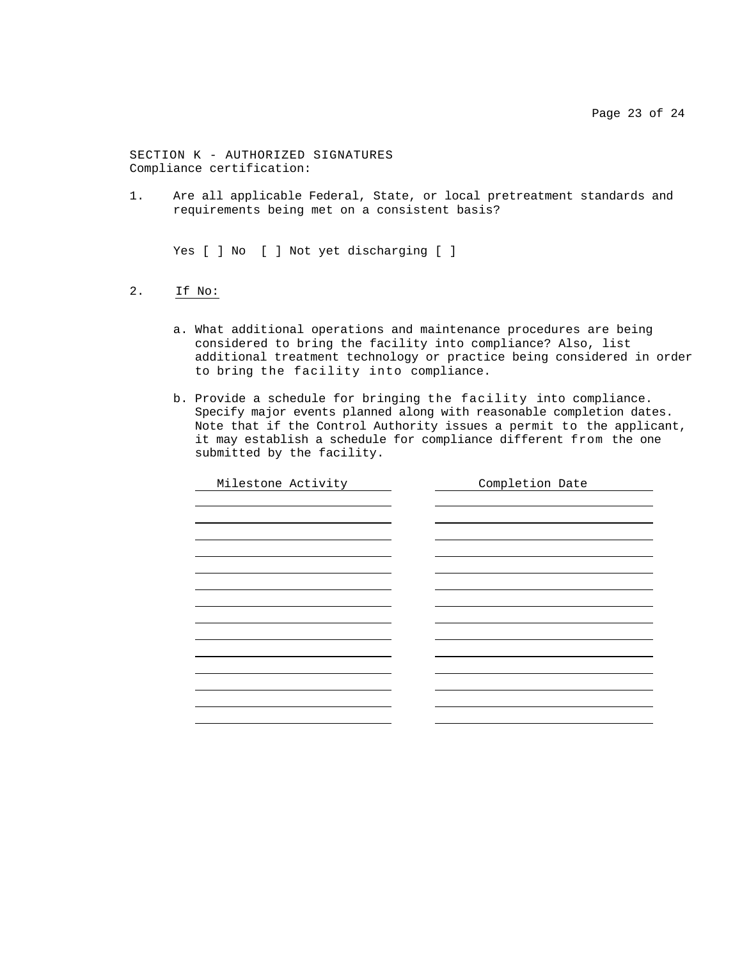SECTION K - AUTHORIZED SIGNATURES Compliance certification:

1. Are all applicable Federal, State, or local pretreatment standards and requirements being met on a consistent basis?

Yes [ ] No [ ] Not yet discharging [ ]

- 2. If No:
	- a. What additional operations and maintenance procedures are being considered to bring the facility into compliance? Also, list additional treatment technology or practice being considered in order to bring the facility into compliance.
	- b. Provide a schedule for bringing the facility into compliance. Specify major events planned along with reasonable completion dates. Note that if the Control Authority issues a permit to the applicant, it may establish a schedule for compliance different from the one submitted by the facility.

| Milestone Activity | Completion Date |
|--------------------|-----------------|
|                    |                 |
|                    |                 |
|                    |                 |
|                    |                 |
|                    |                 |
|                    |                 |
|                    |                 |
|                    |                 |
|                    |                 |
|                    |                 |
|                    |                 |
|                    |                 |
|                    |                 |
|                    |                 |
|                    |                 |